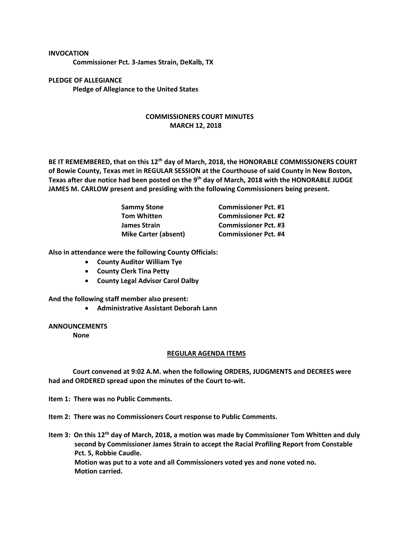### **INVOCATION**

**Commissioner Pct. 3-James Strain, DeKalb, TX**

# **PLEDGE OF ALLEGIANCE Pledge of Allegiance to the United States**

## **COMMISSIONERS COURT MINUTES MARCH 12, 2018**

**BE IT REMEMBERED, that on this 12th day of March, 2018, the HONORABLE COMMISSIONERS COURT of Bowie County, Texas met in REGULAR SESSION at the Courthouse of said County in New Boston, Texas after due notice had been posted on the 9th day of March, 2018 with the HONORABLE JUDGE JAMES M. CARLOW present and presiding with the following Commissioners being present.**

| <b>Sammy Stone</b>          | <b>Commissioner Pct. #1</b> |
|-----------------------------|-----------------------------|
| <b>Tom Whitten</b>          | <b>Commissioner Pct. #2</b> |
| James Strain                | <b>Commissioner Pct. #3</b> |
| <b>Mike Carter (absent)</b> | <b>Commissioner Pct. #4</b> |

**Also in attendance were the following County Officials:**

- **County Auditor William Tye**
- **County Clerk Tina Petty**
- **County Legal Advisor Carol Dalby**

**And the following staff member also present:**

• **Administrative Assistant Deborah Lann**

### **ANNOUNCEMENTS**

**None**

#### **REGULAR AGENDA ITEMS**

**Court convened at 9:02 A.M. when the following ORDERS, JUDGMENTS and DECREES were had and ORDERED spread upon the minutes of the Court to-wit.**

**Item 1: There was no Public Comments.**

**Item 2: There was no Commissioners Court response to Public Comments.**

Item 3: On this 12<sup>th</sup> day of March, 2018, a motion was made by Commissioner Tom Whitten and duly **second by Commissioner James Strain to accept the Racial Profiling Report from Constable Pct. 5, Robbie Caudle. Motion was put to a vote and all Commissioners voted yes and none voted no. Motion carried.**